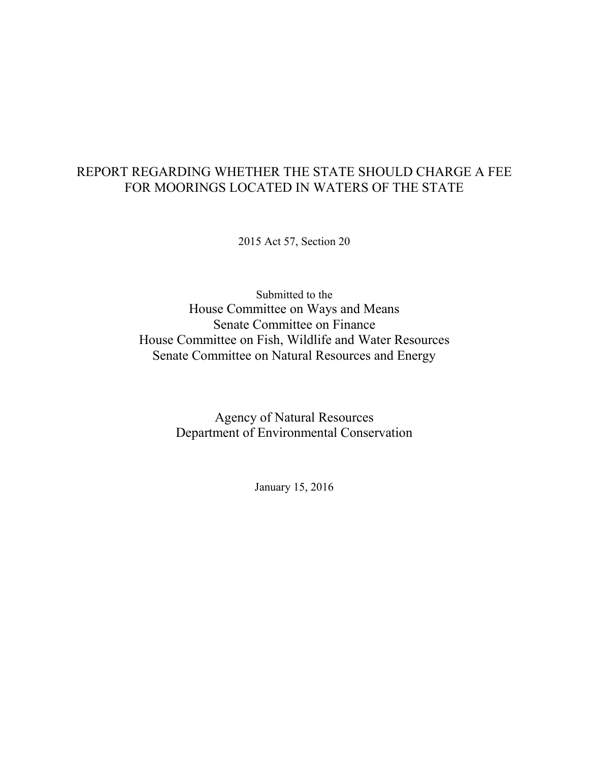# REPORT REGARDING WHETHER THE STATE SHOULD CHARGE A FEE FOR MOORINGS LOCATED IN WATERS OF THE STATE

2015 Act 57, Section 20

Submitted to the House Committee on Ways and Means Senate Committee on Finance House Committee on Fish, Wildlife and Water Resources Senate Committee on Natural Resources and Energy

> Agency of Natural Resources Department of Environmental Conservation

> > January 15, 2016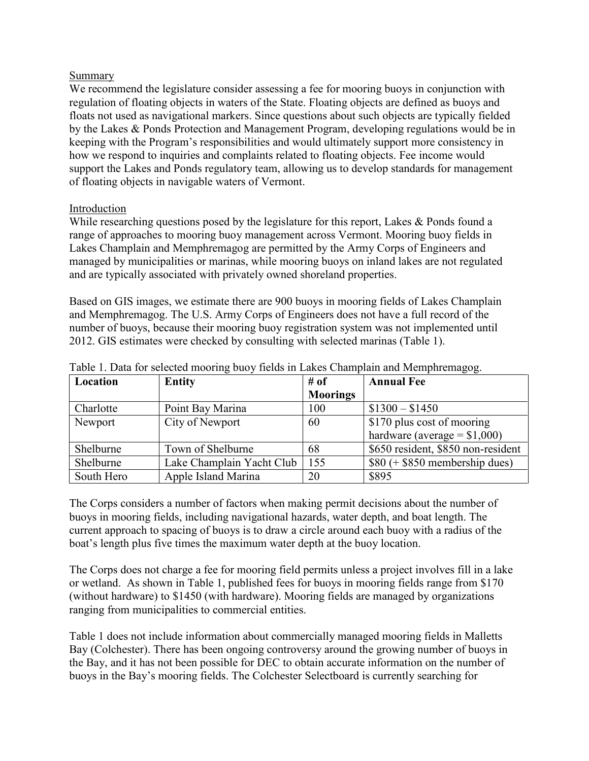### Summary

We recommend the legislature consider assessing a fee for mooring buoys in conjunction with regulation of floating objects in waters of the State. Floating objects are defined as buoys and floats not used as navigational markers. Since questions about such objects are typically fielded by the Lakes & Ponds Protection and Management Program, developing regulations would be in keeping with the Program's responsibilities and would ultimately support more consistency in how we respond to inquiries and complaints related to floating objects. Fee income would support the Lakes and Ponds regulatory team, allowing us to develop standards for management of floating objects in navigable waters of Vermont.

### Introduction

While researching questions posed by the legislature for this report, Lakes & Ponds found a range of approaches to mooring buoy management across Vermont. Mooring buoy fields in Lakes Champlain and Memphremagog are permitted by the Army Corps of Engineers and managed by municipalities or marinas, while mooring buoys on inland lakes are not regulated and are typically associated with privately owned shoreland properties.

Based on GIS images, we estimate there are 900 buoys in mooring fields of Lakes Champlain and Memphremagog. The U.S. Army Corps of Engineers does not have a full record of the number of buoys, because their mooring buoy registration system was not implemented until 2012. GIS estimates were checked by consulting with selected marinas (Table 1).

| Location   | <b>Entity</b><br># of     |                 | <b>Annual Fee</b>                  |  |  |
|------------|---------------------------|-----------------|------------------------------------|--|--|
|            |                           | <b>Moorings</b> |                                    |  |  |
| Charlotte  | Point Bay Marina          | 100             | $$1300 - $1450$                    |  |  |
| Newport    | City of Newport           | 60              | \$170 plus cost of mooring         |  |  |
|            |                           |                 | hardware (average $= $1,000$ )     |  |  |
| Shelburne  | Town of Shelburne         | 68              | \$650 resident, \$850 non-resident |  |  |
| Shelburne  | Lake Champlain Yacht Club | 155             | $$80 (+ $850$ membership dues)     |  |  |
| South Hero | Apple Island Marina       | 20              | \$895                              |  |  |

|  |  |  |  | Table 1. Data for selected mooring buoy fields in Lakes Champlain and Memphremagog. |  |
|--|--|--|--|-------------------------------------------------------------------------------------|--|
|  |  |  |  |                                                                                     |  |
|  |  |  |  |                                                                                     |  |

The Corps considers a number of factors when making permit decisions about the number of buoys in mooring fields, including navigational hazards, water depth, and boat length. The current approach to spacing of buoys is to draw a circle around each buoy with a radius of the boat's length plus five times the maximum water depth at the buoy location.

The Corps does not charge a fee for mooring field permits unless a project involves fill in a lake or wetland. As shown in Table 1, published fees for buoys in mooring fields range from \$170 (without hardware) to \$1450 (with hardware). Mooring fields are managed by organizations ranging from municipalities to commercial entities.

Table 1 does not include information about commercially managed mooring fields in Malletts Bay (Colchester). There has been ongoing controversy around the growing number of buoys in the Bay, and it has not been possible for DEC to obtain accurate information on the number of buoys in the Bay's mooring fields. The Colchester Selectboard is currently searching for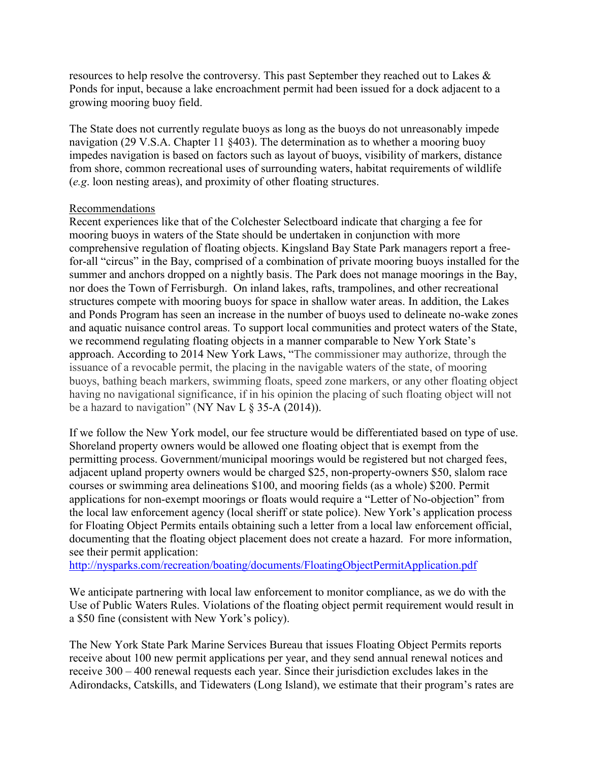resources to help resolve the controversy. This past September they reached out to Lakes & Ponds for input, because a lake encroachment permit had been issued for a dock adjacent to a growing mooring buoy field.

The State does not currently regulate buoys as long as the buoys do not unreasonably impede navigation (29 V.S.A. Chapter 11 §403). The determination as to whether a mooring buoy impedes navigation is based on factors such as layout of buoys, visibility of markers, distance from shore, common recreational uses of surrounding waters, habitat requirements of wildlife (*e.g*. loon nesting areas), and proximity of other floating structures.

### Recommendations

Recent experiences like that of the Colchester Selectboard indicate that charging a fee for mooring buoys in waters of the State should be undertaken in conjunction with more comprehensive regulation of floating objects. Kingsland Bay State Park managers report a freefor-all "circus" in the Bay, comprised of a combination of private mooring buoys installed for the summer and anchors dropped on a nightly basis. The Park does not manage moorings in the Bay, nor does the Town of Ferrisburgh. On inland lakes, rafts, trampolines, and other recreational structures compete with mooring buoys for space in shallow water areas. In addition, the Lakes and Ponds Program has seen an increase in the number of buoys used to delineate no-wake zones and aquatic nuisance control areas. To support local communities and protect waters of the State, we recommend regulating floating objects in a manner comparable to New York State's approach. According to 2014 New York Laws, "The commissioner may authorize, through the issuance of a revocable permit, the placing in the navigable waters of the state, of mooring buoys, bathing beach markers, swimming floats, speed zone markers, or any other floating object having no navigational significance, if in his opinion the placing of such floating object will not be a hazard to navigation" (NY Nav L  $\S$  35-A (2014)).

If we follow the New York model, our fee structure would be differentiated based on type of use. Shoreland property owners would be allowed one floating object that is exempt from the permitting process. Government/municipal moorings would be registered but not charged fees, adjacent upland property owners would be charged \$25, non-property-owners \$50, slalom race courses or swimming area delineations \$100, and mooring fields (as a whole) \$200. Permit applications for non-exempt moorings or floats would require a "Letter of No-objection" from the local law enforcement agency (local sheriff or state police). New York's application process for Floating Object Permits entails obtaining such a letter from a local law enforcement official, documenting that the floating object placement does not create a hazard. For more information, see their permit application:

<http://nysparks.com/recreation/boating/documents/FloatingObjectPermitApplication.pdf>

We anticipate partnering with local law enforcement to monitor compliance, as we do with the Use of Public Waters Rules. Violations of the floating object permit requirement would result in a \$50 fine (consistent with New York's policy).

The New York State Park Marine Services Bureau that issues Floating Object Permits reports receive about 100 new permit applications per year, and they send annual renewal notices and receive 300 – 400 renewal requests each year. Since their jurisdiction excludes lakes in the Adirondacks, Catskills, and Tidewaters (Long Island), we estimate that their program's rates are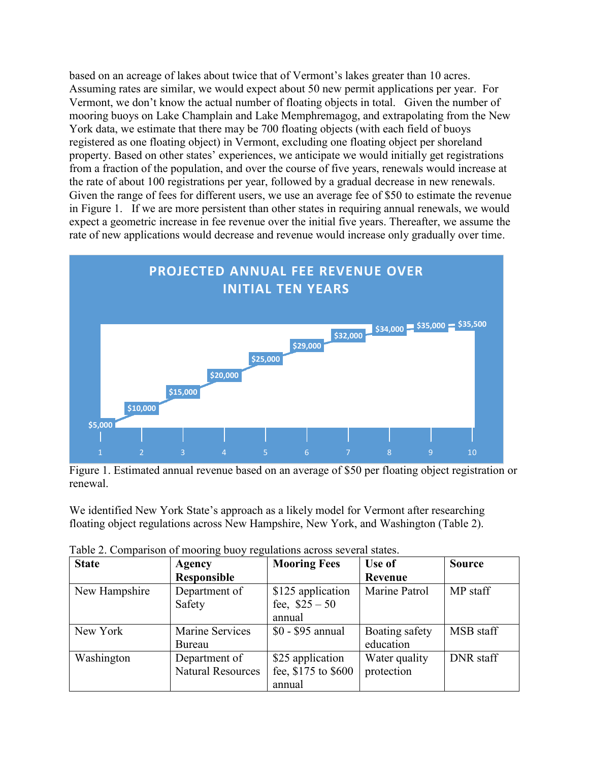based on an acreage of lakes about twice that of Vermont's lakes greater than 10 acres. Assuming rates are similar, we would expect about 50 new permit applications per year. For Vermont, we don't know the actual number of floating objects in total. Given the number of mooring buoys on Lake Champlain and Lake Memphremagog, and extrapolating from the New York data, we estimate that there may be 700 floating objects (with each field of buoys registered as one floating object) in Vermont, excluding one floating object per shoreland property. Based on other states' experiences, we anticipate we would initially get registrations from a fraction of the population, and over the course of five years, renewals would increase at the rate of about 100 registrations per year, followed by a gradual decrease in new renewals. Given the range of fees for different users, we use an average fee of \$50 to estimate the revenue in Figure 1. If we are more persistent than other states in requiring annual renewals, we would expect a geometric increase in fee revenue over the initial five years. Thereafter, we assume the rate of new applications would decrease and revenue would increase only gradually over time.



Figure 1. Estimated annual revenue based on an average of \$50 per floating object registration or renewal.

We identified New York State's approach as a likely model for Vermont after researching floating object regulations across New Hampshire, New York, and Washington (Table 2).

| <b>State</b>  | Agency                   | <b>Mooring Fees</b> | Use of         | <b>Source</b> |
|---------------|--------------------------|---------------------|----------------|---------------|
|               | <b>Responsible</b>       |                     | <b>Revenue</b> |               |
| New Hampshire | Department of            | \$125 application   | Marine Patrol  | MP staff      |
|               | Safety                   | fee, $$25 - 50$     |                |               |
|               |                          | annual              |                |               |
| New York      | <b>Marine Services</b>   | \$0 - \$95 annual   | Boating safety | MSB staff     |
|               | Bureau                   |                     | education      |               |
| Washington    | Department of            | \$25 application    | Water quality  | DNR staff     |
|               | <b>Natural Resources</b> | fee, \$175 to \$600 | protection     |               |
|               |                          | annual              |                |               |

Table 2. Comparison of mooring buoy regulations across several states.